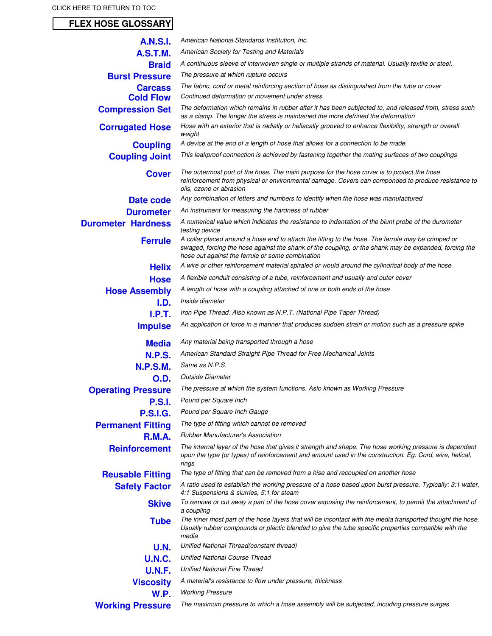## **FLEX HOSE GLOSSARY**

| <b>A.N.S.I.</b>           | American National Standards Institution, Inc.                                                                                                                                                                                                                   |
|---------------------------|-----------------------------------------------------------------------------------------------------------------------------------------------------------------------------------------------------------------------------------------------------------------|
| <b>A.S.T.M.</b>           | American Society for Testing and Materials                                                                                                                                                                                                                      |
| <b>Braid</b>              | A continuous sleeve of interwoven single or multiple strands of material. Usually textile or steel.                                                                                                                                                             |
| <b>Burst Pressure</b>     | The pressure at which rupture occurs                                                                                                                                                                                                                            |
| <b>Carcass</b>            | The fabric, cord or metal reinforcing section of hose as distinguished from the tube or cover                                                                                                                                                                   |
| <b>Cold Flow</b>          | Continued deformation or movement under stress                                                                                                                                                                                                                  |
| <b>Compression Set</b>    | The deformation which remains in rubber after it has been subjected to, and released from, stress such<br>as a clamp. The longer the stress is maintained the more defrined the deformation                                                                     |
| <b>Corrugated Hose</b>    | Hose with an exterior that is radially or heliacally grooved to enhance flexibility, strength or overall<br>weight                                                                                                                                              |
| <b>Coupling</b>           | A device at the end of a length of hose that allows for a connection to be made.                                                                                                                                                                                |
| <b>Coupling Joint</b>     | This leakproof connection is achieved by fastening together the mating surfaces of two couplings                                                                                                                                                                |
| <b>Cover</b>              | The outermost port of the hose. The main purpose for the hose cover is to protect the hose<br>reinforcement from physical or environmental damage. Covers can componded to produce resistance to<br>oils, ozone or abrasion                                     |
| Date code                 | Any combination of letters and numbers to identify when the hose was manufactured                                                                                                                                                                               |
| <b>Durometer</b>          | An instrument for measuring the hardness of rubber                                                                                                                                                                                                              |
| <b>Durometer Hardness</b> | A numerical value which indicates the resistance to indentation of the blunt probe of the durometer<br>testing device                                                                                                                                           |
| <b>Ferrule</b>            | A collar placed around a hose end to attach the fitting to the hose. The ferrule may be crimped or<br>swaged, forcing the hose against the shank of the coupling, or the shank may be expanded, forcing the<br>hose out against the ferrule or some combination |
| <b>Helix</b>              | A wire or other reinforcement material spiraled or would around the cylindrical body of the hose                                                                                                                                                                |
| <b>Hose</b>               | A flexible conduit consisting of a tube, reinforcement and usually and outer cover                                                                                                                                                                              |
| <b>Hose Assembly</b>      | A length of hose with a coupling attached ot one or both ends of the hose                                                                                                                                                                                       |
| I.D.                      | Inside diameter                                                                                                                                                                                                                                                 |
| I.P.T.                    | Iron Pipe Thread. Also known as N.P.T. (National Pipe Taper Thread)                                                                                                                                                                                             |
| <b>Impulse</b>            | An application of force in a manner that produces sudden strain or motion such as a pressure spike                                                                                                                                                              |
| <b>Media</b>              | Any material being transported through a hose                                                                                                                                                                                                                   |
| <b>N.P.S.</b>             | American Standard Straight Pipe Thread for Free Mechanical Joints                                                                                                                                                                                               |
| <b>N.P.S.M.</b>           | Same as N.P.S.                                                                                                                                                                                                                                                  |
| O.D.                      | <b>Outside Diameter</b>                                                                                                                                                                                                                                         |
| <b>Operating Pressure</b> | The pressure at which the system functions. Aslo known as Working Pressure                                                                                                                                                                                      |
| <b>P.S.I.</b>             | Pound per Square Inch                                                                                                                                                                                                                                           |
| <b>P.S.I.G.</b>           | Pound per Square Inch Gauge                                                                                                                                                                                                                                     |
| <b>Permanent Fitting</b>  | The type of fitting which cannot be removed                                                                                                                                                                                                                     |
| <b>R.M.A.</b>             | <b>Rubber Manufacturer's Association</b>                                                                                                                                                                                                                        |
| <b>Reinforcement</b>      | The internal layer of the hose that gives it strength and shape. The hose working pressure is dependent<br>upon the type (or types) of reinforcement and amount used in the construction. Eg: Cord, wire, helical,<br>rings                                     |
| <b>Reusable Fitting</b>   | The type of fitting that can be removed from a hise and recoupled on another hose                                                                                                                                                                               |
| <b>Safety Factor</b>      | A ratio used to establish the working pressure of a hose based upon burst pressure. Typically: 3:1 water,<br>4:1 Suspensions & slurries, 5:1 for steam                                                                                                          |
| <b>Skive</b>              | To remove or cut away a part of the hose cover exposing the reinforcement, to permit the attachment of<br>a coupling                                                                                                                                            |
| <b>Tube</b>               | The inner most part of the hose layers that will be incontact with the media transported thought the hose.<br>Usually rubber compounds or plactic blended to give the tube specific properties compatible with the<br>media                                     |
| U.N.                      | Unified National Thread(constant thread)                                                                                                                                                                                                                        |
| <b>U.N.C.</b>             | <b>Unified National Course Thread</b>                                                                                                                                                                                                                           |
| <b>U.N.F.</b>             | <b>Unified National Fine Thread</b>                                                                                                                                                                                                                             |
| <b>Viscosity</b>          | A material's resistance to flow under pressure, thickness                                                                                                                                                                                                       |
| <b>W.P.</b>               | <b>Working Pressure</b>                                                                                                                                                                                                                                         |
| <b>Working Pressure</b>   | The maximum pressure to which a hose assembly will be subjected, incuding pressure surges                                                                                                                                                                       |